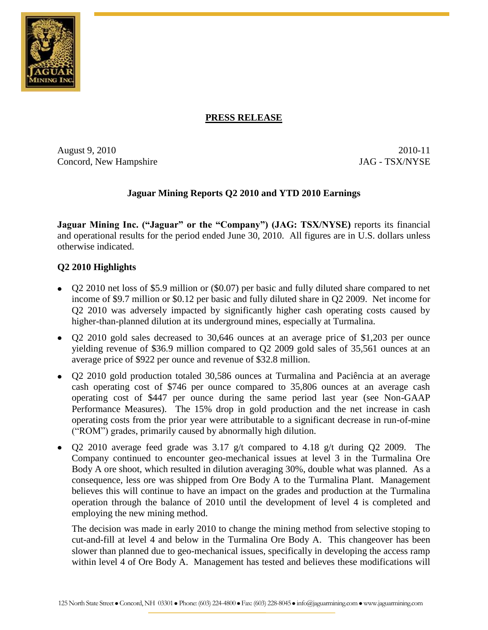

# **PRESS RELEASE**

August 9, 2010 2010-11 Concord, New Hampshire JAG - TSX/NYSE

# **Jaguar Mining Reports Q2 2010 and YTD 2010 Earnings**

**Jaguar Mining Inc. ("Jaguar" or the "Company") (JAG: TSX/NYSE)** reports its financial and operational results for the period ended June 30, 2010. All figures are in U.S. dollars unless otherwise indicated.

# **Q2 2010 Highlights**

- Q2 2010 net loss of \$5.9 million or (\$0.07) per basic and fully diluted share compared to net income of \$9.7 million or \$0.12 per basic and fully diluted share in Q2 2009. Net income for Q2 2010 was adversely impacted by significantly higher cash operating costs caused by higher-than-planned dilution at its underground mines, especially at Turmalina.
- Q2 2010 gold sales decreased to 30,646 ounces at an average price of \$1,203 per ounce yielding revenue of \$36.9 million compared to Q2 2009 gold sales of 35,561 ounces at an average price of \$922 per ounce and revenue of \$32.8 million.
- Q2 2010 gold production totaled 30,586 ounces at Turmalina and Paciência at an average cash operating cost of \$746 per ounce compared to 35,806 ounces at an average cash operating cost of \$447 per ounce during the same period last year (see Non-GAAP Performance Measures). The 15% drop in gold production and the net increase in cash operating costs from the prior year were attributable to a significant decrease in run-of-mine ("ROM") grades, primarily caused by abnormally high dilution.
- Q2 2010 average feed grade was  $3.17$  g/t compared to  $4.18$  g/t during Q2 2009. The Company continued to encounter geo-mechanical issues at level 3 in the Turmalina Ore Body A ore shoot, which resulted in dilution averaging 30%, double what was planned. As a consequence, less ore was shipped from Ore Body A to the Turmalina Plant. Management believes this will continue to have an impact on the grades and production at the Turmalina operation through the balance of 2010 until the development of level 4 is completed and employing the new mining method.

The decision was made in early 2010 to change the mining method from selective stoping to cut-and-fill at level 4 and below in the Turmalina Ore Body A. This changeover has been slower than planned due to geo-mechanical issues, specifically in developing the access ramp within level 4 of Ore Body A. Management has tested and believes these modifications will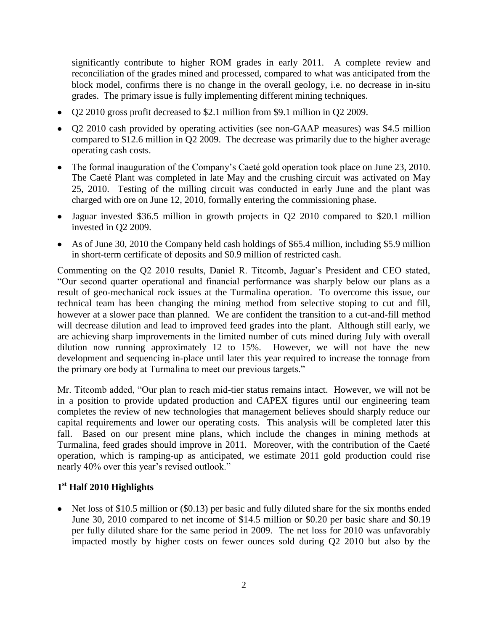significantly contribute to higher ROM grades in early 2011. A complete review and reconciliation of the grades mined and processed, compared to what was anticipated from the block model, confirms there is no change in the overall geology, i.e. no decrease in in-situ grades. The primary issue is fully implementing different mining techniques.

- Q2 2010 gross profit decreased to \$2.1 million from \$9.1 million in Q2 2009.
- Q2 2010 cash provided by operating activities (see non-GAAP measures) was \$4.5 million compared to \$12.6 million in Q2 2009. The decrease was primarily due to the higher average operating cash costs.
- The formal inauguration of the Company's Caeté gold operation took place on June 23, 2010. The Caeté Plant was completed in late May and the crushing circuit was activated on May 25, 2010. Testing of the milling circuit was conducted in early June and the plant was charged with ore on June 12, 2010, formally entering the commissioning phase.
- Jaguar invested \$36.5 million in growth projects in Q2 2010 compared to \$20.1 million invested in Q2 2009.
- As of June 30, 2010 the Company held cash holdings of \$65.4 million, including \$5.9 million in short-term certificate of deposits and \$0.9 million of restricted cash.

Commenting on the Q2 2010 results, Daniel R. Titcomb, Jaguar's President and CEO stated, "Our second quarter operational and financial performance was sharply below our plans as a result of geo-mechanical rock issues at the Turmalina operation. To overcome this issue, our technical team has been changing the mining method from selective stoping to cut and fill, however at a slower pace than planned. We are confident the transition to a cut-and-fill method will decrease dilution and lead to improved feed grades into the plant. Although still early, we are achieving sharp improvements in the limited number of cuts mined during July with overall dilution now running approximately 12 to 15%. However, we will not have the new development and sequencing in-place until later this year required to increase the tonnage from the primary ore body at Turmalina to meet our previous targets."

Mr. Titcomb added, "Our plan to reach mid-tier status remains intact. However, we will not be in a position to provide updated production and CAPEX figures until our engineering team completes the review of new technologies that management believes should sharply reduce our capital requirements and lower our operating costs. This analysis will be completed later this fall. Based on our present mine plans, which include the changes in mining methods at Turmalina, feed grades should improve in 2011. Moreover, with the contribution of the Caeté operation, which is ramping-up as anticipated, we estimate 2011 gold production could rise nearly 40% over this year's revised outlook."

# **1 st Half 2010 Highlights**

• Net loss of \$10.5 million or (\$0.13) per basic and fully diluted share for the six months ended June 30, 2010 compared to net income of \$14.5 million or \$0.20 per basic share and \$0.19 per fully diluted share for the same period in 2009. The net loss for 2010 was unfavorably impacted mostly by higher costs on fewer ounces sold during Q2 2010 but also by the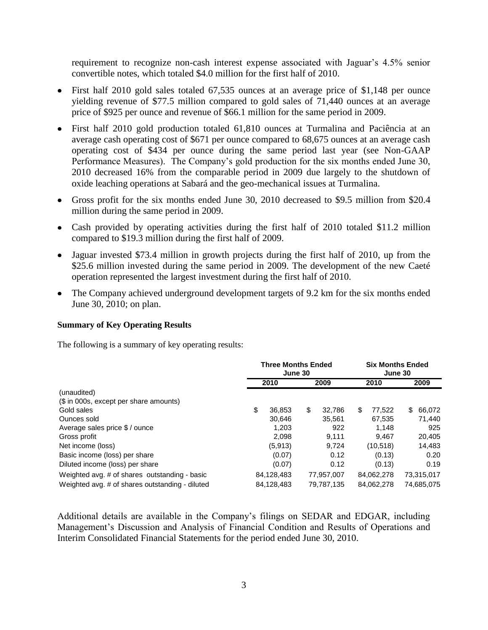requirement to recognize non-cash interest expense associated with Jaguar's 4.5% senior convertible notes, which totaled \$4.0 million for the first half of 2010.

- First half 2010 gold sales totaled 67,535 ounces at an average price of \$1,148 per ounce yielding revenue of \$77.5 million compared to gold sales of 71,440 ounces at an average price of \$925 per ounce and revenue of \$66.1 million for the same period in 2009.
- First half 2010 gold production totaled 61,810 ounces at Turmalina and Paciência at an average cash operating cost of \$671 per ounce compared to 68,675 ounces at an average cash operating cost of \$434 per ounce during the same period last year (see Non-GAAP Performance Measures). The Company's gold production for the six months ended June 30, 2010 decreased 16% from the comparable period in 2009 due largely to the shutdown of oxide leaching operations at Sabará and the geo-mechanical issues at Turmalina.
- Gross profit for the six months ended June 30, 2010 decreased to \$9.5 million from \$20.4 million during the same period in 2009.
- Cash provided by operating activities during the first half of 2010 totaled \$11.2 million compared to \$19.3 million during the first half of 2009.
- Jaguar invested \$73.4 million in growth projects during the first half of 2010, up from the \$25.6 million invested during the same period in 2009. The development of the new Caeté operation represented the largest investment during the first half of 2010.
- The Company achieved underground development targets of 9.2 km for the six months ended June 30, 2010; on plan.

# **Summary of Key Operating Results**

The following is a summary of key operating results:

|                                                 | <b>Three Months Ended</b><br>June 30 |            |    | <b>Six Months Ended</b><br>June 30 |    |            |    |            |
|-------------------------------------------------|--------------------------------------|------------|----|------------------------------------|----|------------|----|------------|
|                                                 |                                      | 2010       |    | 2009                               |    | 2010       |    | 2009       |
| (unaudited)                                     |                                      |            |    |                                    |    |            |    |            |
| (\$ in 000s, except per share amounts)          |                                      |            |    |                                    |    |            |    |            |
| Gold sales                                      | \$                                   | 36.853     | \$ | 32.786                             | \$ | 77.522     | \$ | 66,072     |
| Ounces sold                                     |                                      | 30.646     |    | 35.561                             |    | 67.535     |    | 71.440     |
| Average sales price \$ / ounce                  |                                      | 1.203      |    | 922                                |    | 1.148      |    | 925        |
| Gross profit                                    |                                      | 2.098      |    | 9.111                              |    | 9.467      |    | 20,405     |
| Net income (loss)                               |                                      | (5,913)    |    | 9,724                              |    | (10, 518)  |    | 14,483     |
| Basic income (loss) per share                   |                                      | (0.07)     |    | 0.12                               |    | (0.13)     |    | 0.20       |
| Diluted income (loss) per share                 |                                      | (0.07)     |    | 0.12                               |    | (0.13)     |    | 0.19       |
| Weighted avg. # of shares outstanding - basic   |                                      | 84,128,483 |    | 77,957,007                         |    | 84,062,278 |    | 73,315,017 |
| Weighted avg. # of shares outstanding - diluted |                                      | 84,128,483 |    | 79,787,135                         |    | 84.062.278 |    | 74,685,075 |

Additional details are available in the Company's filings on SEDAR and EDGAR, including Management's Discussion and Analysis of Financial Condition and Results of Operations and Interim Consolidated Financial Statements for the period ended June 30, 2010.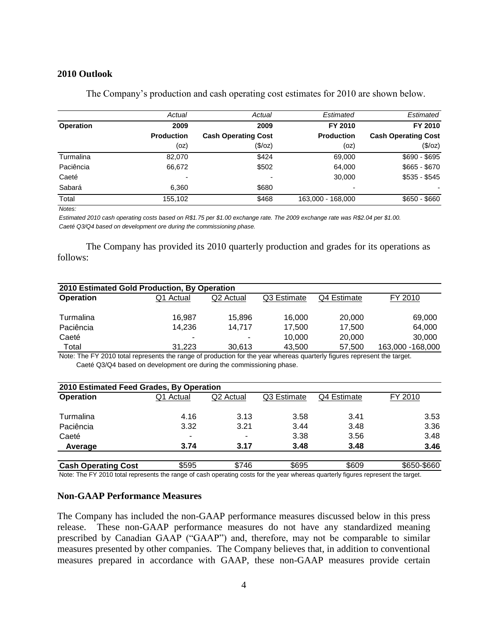### **2010 Outlook**

|                  | Actual            | Actual                     | Estimated         | Estimated                  |
|------------------|-------------------|----------------------------|-------------------|----------------------------|
| <b>Operation</b> | 2009              | 2009                       | FY 2010           | FY 2010                    |
|                  | <b>Production</b> | <b>Cash Operating Cost</b> | <b>Production</b> | <b>Cash Operating Cost</b> |
|                  | (oz)              | (\$/oz)                    | (oz)              | (\$/oz)                    |
| Turmalina        | 82,070            | \$424                      | 69,000            | $$690 - $695$              |
| Paciência        | 66,672            | \$502                      | 64,000            | $$665 - $670$              |
| Caeté            |                   |                            | 30,000            | $$535 - $545$              |
| Sabará           | 6.360             | \$680                      |                   |                            |
| Total            | 155,102           | \$468                      | 163,000 - 168,000 | $$650 - $660$              |

The Company's production and cash operating cost estimates for 2010 are shown below.

*Notes:*

*Estimated 2010 cash operating costs based on R\$1.75 per \$1.00 exchange rate. The 2009 exchange rate was R\$2.04 per \$1.00. Caeté Q3/Q4 based on development ore during the commissioning phase.*

The Company has provided its 2010 quarterly production and grades for its operations as follows:

| 2010 Estimated Gold Production, By Operation |           |                       |             |             |                   |  |  |  |
|----------------------------------------------|-----------|-----------------------|-------------|-------------|-------------------|--|--|--|
| <b>Operation</b>                             | Q1 Actual | Q <sub>2</sub> Actual | Q3 Estimate | Q4 Estimate | FY 2010           |  |  |  |
| Turmalina                                    | 16.987    | 15.896                | 16.000      | 20,000      | 69,000            |  |  |  |
| Paciência                                    | 14.236    | 14.717                | 17.500      | 17.500      | 64.000            |  |  |  |
| Caeté                                        | ٠         | ۰                     | 10.000      | 20,000      | 30,000            |  |  |  |
| Total                                        | 31.223    | 30.613                | 43,500      | 57,500      | 163,000 - 168,000 |  |  |  |

 Caeté Q3/Q4 based on development ore during the commissioning phase. Note: The FY 2010 total represents the range of production for the year whereas quarterly figures represent the target.

| 2010 Estimated Feed Grades, By Operation |           |                       |             |             |             |
|------------------------------------------|-----------|-----------------------|-------------|-------------|-------------|
| <b>Operation</b>                         | Q1 Actual | Q <sub>2</sub> Actual | Q3 Estimate | Q4 Estimate | FY 2010     |
| Turmalina                                | 4.16      | 3.13                  | 3.58        | 3.41        | 3.53        |
| Paciência                                | 3.32      | 3.21                  | 3.44        | 3.48        | 3.36        |
| Caeté                                    | -         | -                     | 3.38        | 3.56        | 3.48        |
| Average                                  | 3.74      | 3.17                  | 3.48        | 3.48        | 3.46        |
| <b>Cash Operating Cost</b>               | \$595     | \$746                 | \$695       | \$609       | \$650-\$660 |

Note: The FY 2010 total represents the range of cash operating costs for the year whereas quarterly figures represent the target.

### **Non-GAAP Performance Measures**

The Company has included the non-GAAP performance measures discussed below in this press release. These non-GAAP performance measures do not have any standardized meaning prescribed by Canadian GAAP ("GAAP") and, therefore, may not be comparable to similar measures presented by other companies. The Company believes that, in addition to conventional measures prepared in accordance with GAAP, these non-GAAP measures provide certain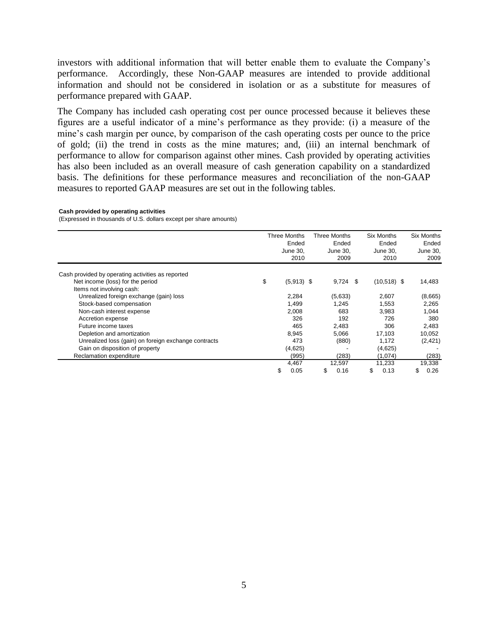investors with additional information that will better enable them to evaluate the Company's performance. Accordingly, these Non-GAAP measures are intended to provide additional information and should not be considered in isolation or as a substitute for measures of performance prepared with GAAP.

The Company has included cash operating cost per ounce processed because it believes these figures are a useful indicator of a mine's performance as they provide: (i) a measure of the mine's cash margin per ounce, by comparison of the cash operating costs per ounce to the price of gold; (ii) the trend in costs as the mine matures; and, (iii) an internal benchmark of performance to allow for comparison against other mines. Cash provided by operating activities has also been included as an overall measure of cash generation capability on a standardized basis. The definitions for these performance measures and reconciliation of the non-GAAP measures to reported GAAP measures are set out in the following tables.

#### **Cash provided by operating activities**

(Expressed in thousands of U.S. dollars except per share amounts)

|                                                      |    | Three Months<br>Ended<br>June 30,<br>2010 | Three Months | Ended<br>June 30,<br>2009 | <b>Six Months</b><br>Ended<br>June 30,<br>2010 | Six Months<br>Ended<br>June 30,<br>2009 |
|------------------------------------------------------|----|-------------------------------------------|--------------|---------------------------|------------------------------------------------|-----------------------------------------|
| Cash provided by operating activities as reported    |    |                                           |              |                           |                                                |                                         |
| Net income (loss) for the period                     | \$ | $(5,913)$ \$                              |              | $9,724$ \$                | $(10,518)$ \$                                  | 14,483                                  |
| Items not involving cash:                            |    |                                           |              |                           |                                                |                                         |
| Unrealized foreign exchange (gain) loss              |    | 2,284                                     |              | (5,633)                   | 2,607                                          | (8,665)                                 |
| Stock-based compensation                             |    | 1.499                                     |              | 1.245                     | 1.553                                          | 2,265                                   |
| Non-cash interest expense                            |    | 2,008                                     |              | 683                       | 3,983                                          | 1,044                                   |
| Accretion expense                                    |    | 326                                       |              | 192                       | 726                                            | 380                                     |
| Future income taxes                                  |    | 465                                       |              | 2,483                     | 306                                            | 2,483                                   |
| Depletion and amortization                           |    | 8,945                                     |              | 5,066                     | 17,103                                         | 10,052                                  |
| Unrealized loss (gain) on foreign exchange contracts |    | 473                                       |              | (880)                     | 1,172                                          | (2, 421)                                |
| Gain on disposition of property                      |    | (4,625)                                   |              |                           | (4,625)                                        |                                         |
| Reclamation expenditure                              |    | (995)                                     |              | (283)                     | (1,074)                                        | (283)                                   |
|                                                      |    | 4,467                                     |              | 12,597                    | 11.233                                         | 19,338                                  |
|                                                      | S. | 0.05                                      | \$           | 0.16                      | \$<br>0.13                                     | \$<br>0.26                              |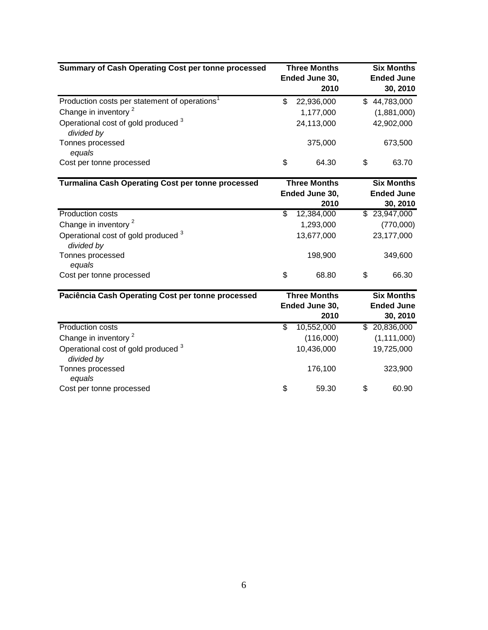| Summary of Cash Operating Cost per tonne processed        | <b>Three Months</b><br>Ended June 30,<br>2010 |                     |                   |                   |  | <b>Six Months</b><br><b>Ended June</b><br>30, 2010 |
|-----------------------------------------------------------|-----------------------------------------------|---------------------|-------------------|-------------------|--|----------------------------------------------------|
| Production costs per statement of operations <sup>1</sup> | \$                                            | 22,936,000          |                   | \$44,783,000      |  |                                                    |
| Change in inventory <sup>2</sup>                          |                                               | 1,177,000           |                   | (1,881,000)       |  |                                                    |
| Operational cost of gold produced 3<br>divided by         |                                               | 24,113,000          |                   | 42,902,000        |  |                                                    |
| Tonnes processed                                          |                                               | 375,000             |                   | 673,500           |  |                                                    |
| equals                                                    |                                               |                     |                   |                   |  |                                                    |
| Cost per tonne processed                                  | \$                                            | 64.30               | \$                | 63.70             |  |                                                    |
| <b>Turmalina Cash Operating Cost per tonne processed</b>  |                                               | <b>Three Months</b> | <b>Six Months</b> |                   |  |                                                    |
|                                                           | Ended June 30,                                |                     | <b>Ended June</b> |                   |  |                                                    |
|                                                           |                                               | 2010                |                   | 30, 2010          |  |                                                    |
| <b>Production costs</b>                                   | \$                                            | 12,384,000          |                   | \$23,947,000      |  |                                                    |
| Change in inventory <sup>2</sup>                          |                                               | 1,293,000           |                   | (770,000)         |  |                                                    |
| Operational cost of gold produced 3<br>divided by         |                                               | 13,677,000          | 23,177,000        |                   |  |                                                    |
| Tonnes processed<br>equals                                |                                               | 198,900             |                   | 349,600           |  |                                                    |
| Cost per tonne processed                                  | \$                                            | 68.80               | \$                | 66.30             |  |                                                    |
| Paciência Cash Operating Cost per tonne processed         | <b>Three Months</b>                           |                     | <b>Six Months</b> |                   |  |                                                    |
|                                                           |                                               | Ended June 30,      |                   | <b>Ended June</b> |  |                                                    |
|                                                           |                                               | 2010                |                   | 30, 2010          |  |                                                    |
| <b>Production costs</b>                                   | $\overline{\mathcal{S}}$                      | 10,552,000          |                   | \$20,836,000      |  |                                                    |
| Change in inventory <sup>2</sup>                          |                                               | (116,000)           |                   | (1, 111, 000)     |  |                                                    |
| Operational cost of gold produced 3<br>divided by         |                                               | 10,436,000          |                   | 19,725,000        |  |                                                    |
| Tonnes processed<br>equals                                |                                               | 176,100             |                   | 323,900           |  |                                                    |
| Cost per tonne processed                                  | \$                                            | 59.30               | \$                | 60.90             |  |                                                    |
|                                                           |                                               |                     |                   |                   |  |                                                    |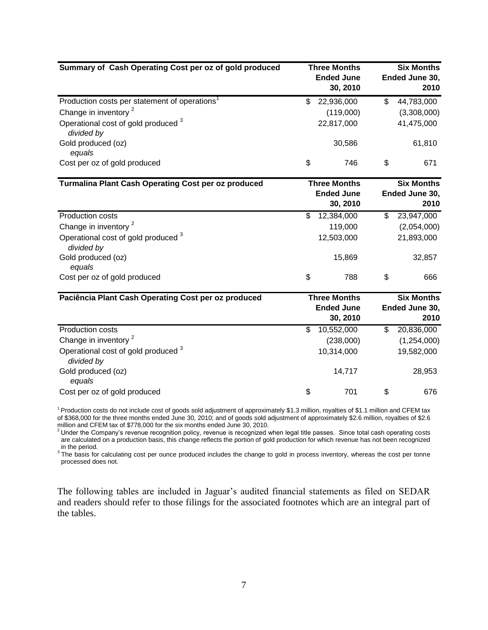| Summary of Cash Operating Cost per oz of gold produced       |     | <b>Three Months</b><br><b>Ended June</b><br>30, 2010 | <b>Six Months</b><br>Ended June 30,<br>2010 |
|--------------------------------------------------------------|-----|------------------------------------------------------|---------------------------------------------|
| Production costs per statement of operations <sup>1</sup>    | \$  | 22,936,000                                           | \$<br>44,783,000                            |
| Change in inventory <sup>2</sup>                             |     | (119,000)                                            | (3,308,000)                                 |
| Operational cost of gold produced <sup>3</sup><br>divided by |     | 22,817,000                                           | 41,475,000                                  |
| Gold produced (oz)<br>equals                                 |     | 30,586                                               | 61,810                                      |
| Cost per oz of gold produced                                 | \$  | 746                                                  | \$<br>671                                   |
| <b>Turmalina Plant Cash Operating Cost per oz produced</b>   |     | <b>Three Months</b>                                  | <b>Six Months</b>                           |
|                                                              |     | <b>Ended June</b><br>30, 2010                        | Ended June 30,<br>2010                      |
| <b>Production costs</b>                                      | \$. | 12,384,000                                           | \$<br>23,947,000                            |
| Change in inventory <sup>2</sup>                             |     | 119,000                                              | (2,054,000)                                 |
| Operational cost of gold produced 3<br>divided by            |     | 12,503,000                                           | 21,893,000                                  |
| Gold produced (oz)<br>equals                                 |     | 15,869                                               | 32,857                                      |
| Cost per oz of gold produced                                 | \$  | 788                                                  | \$<br>666                                   |
| Paciência Plant Cash Operating Cost per oz produced          |     | <b>Three Months</b>                                  | <b>Six Months</b>                           |
|                                                              |     | <b>Ended June</b>                                    | Ended June 30,                              |
|                                                              |     | 30, 2010                                             | 2010                                        |
| <b>Production costs</b>                                      | \$  | 10,552,000                                           | \$<br>20,836,000                            |
| Change in inventory <sup>2</sup>                             |     | (238,000)                                            | (1,254,000)                                 |
| Operational cost of gold produced 3<br>divided by            |     | 10,314,000                                           | 19,582,000                                  |
| Gold produced (oz)<br>equals                                 |     | 14,717                                               | 28,953                                      |
| Cost per oz of gold produced                                 | \$  | 701                                                  | \$<br>676                                   |

<sup>1</sup>Production costs do not include cost of goods sold adjustment of approximately \$1.3 million, royalties of \$1.1 million and CFEM tax of \$368,000 for the three months ended June 30, 2010; and of goods sold adjustment of approximately \$2.6 million, royalties of \$2.6

million and CFEM tax of \$778,000 for the six months ended June 30, 2010.<br><sup>2</sup> Under the Company's revenue recognition policy, revenue is recognized when legal title passes. Since total cash operating costs are calculated on a production basis, this change reflects the portion of gold production for which revenue has not been recognized in the period.

<sup>3</sup> The basis for calculating cost per ounce produced includes the change to gold in process inventory, whereas the cost per tonne processed does not.

The following tables are included in Jaguar's audited financial statements as filed on SEDAR and readers should refer to those filings for the associated footnotes which are an integral part of the tables.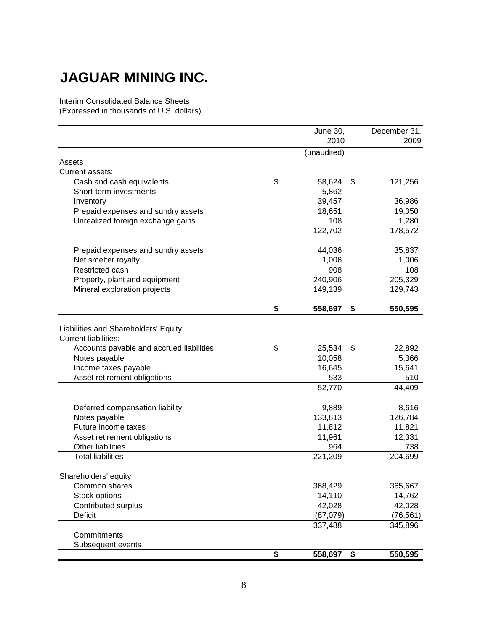# **JAGUAR MINING INC.**

Interim Consolidated Balance Sheets

(Expressed in thousands of U.S. dollars)

|                                          |                             | June 30,    | December 31,  |
|------------------------------------------|-----------------------------|-------------|---------------|
|                                          |                             | 2010        | 2009          |
|                                          |                             | (unaudited) |               |
| Assets                                   |                             |             |               |
| Current assets:                          |                             |             |               |
| Cash and cash equivalents                | \$                          | 58,624      | \$<br>121,256 |
| Short-term investments                   |                             | 5,862       |               |
| Inventory                                |                             | 39,457      | 36,986        |
| Prepaid expenses and sundry assets       |                             | 18,651      | 19,050        |
| Unrealized foreign exchange gains        |                             | 108         | 1,280         |
|                                          |                             | 122,702     | 178,572       |
| Prepaid expenses and sundry assets       |                             | 44,036      | 35,837        |
| Net smelter royalty                      |                             | 1,006       | 1,006         |
| Restricted cash                          |                             | 908         | 108           |
| Property, plant and equipment            |                             | 240,906     | 205,329       |
| Mineral exploration projects             |                             | 149,139     | 129,743       |
|                                          | $\overline{\boldsymbol{s}}$ | 558,697     | \$<br>550,595 |
|                                          |                             |             |               |
| Liabilities and Shareholders' Equity     |                             |             |               |
| <b>Current liabilities:</b>              |                             |             |               |
| Accounts payable and accrued liabilities | \$                          | 25,534      | \$<br>22,892  |
| Notes payable                            |                             | 10,058      | 5,366         |
| Income taxes payable                     |                             | 16,645      | 15,641        |
| Asset retirement obligations             |                             | 533         | 510           |
|                                          |                             | 52,770      | 44,409        |
| Deferred compensation liability          |                             | 9,889       | 8,616         |
| Notes payable                            |                             | 133,813     | 126,784       |
| Future income taxes                      |                             | 11,812      | 11,821        |
| Asset retirement obligations             |                             | 11,961      | 12,331        |
| Other liabilities                        |                             | 964         | 738           |
| <b>Total liabilities</b>                 |                             | 221,209     | 204,699       |
| Shareholders' equity                     |                             |             |               |
| Common shares                            |                             | 368,429     | 365,667       |
| Stock options                            |                             | 14,110      | 14,762        |
| Contributed surplus                      |                             | 42,028      | 42,028        |
| Deficit                                  |                             | (87,079)    | (76, 561)     |
|                                          |                             | 337,488     | 345,896       |
| Commitments                              |                             |             |               |
| Subsequent events                        |                             |             |               |
|                                          | \$                          | 558,697     | \$<br>550,595 |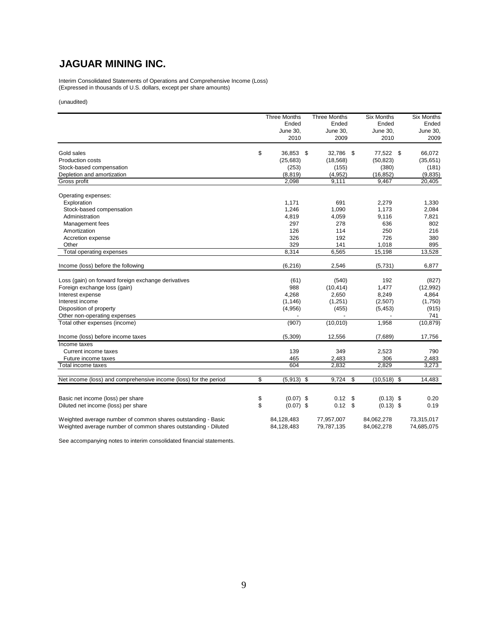# **JAGUAR MINING INC.**

Interim Consolidated Statements of Operations and Comprehensive Income (Loss) (Expressed in thousands of U.S. dollars, except per share amounts)

(unaudited)

|                                                                  | <b>Three Months</b> | <b>Three Months</b> | <b>Six Months</b>      | <b>Six Months</b> |
|------------------------------------------------------------------|---------------------|---------------------|------------------------|-------------------|
|                                                                  | Ended               | Ended               | Ended                  | Ended             |
|                                                                  | June 30,            | June 30,            | June 30,               | June 30,          |
|                                                                  | 2010                | 2009                | 2010                   | 2009              |
| Gold sales                                                       | \$<br>36,853        | 32,786<br>\$        | \$<br>77,522 \$        | 66,072            |
| <b>Production costs</b>                                          | (25, 683)           | (18, 568)           | (50, 823)              | (35, 651)         |
| Stock-based compensation                                         | (253)               | (155)               | (380)                  | (181)             |
| Depletion and amortization                                       | (8, 819)            | (4,952)             | (16, 852)              | (9,835)           |
| Gross profit                                                     | 2,098               | 9,111               | 9,467                  | 20,405            |
|                                                                  |                     |                     |                        |                   |
| Operating expenses:                                              |                     |                     |                        |                   |
| Exploration                                                      | 1,171               | 691                 | 2,279                  | 1,330             |
| Stock-based compensation                                         | 1,246               | 1,090               | 1,173                  | 2,084             |
| Administration                                                   | 4,819               | 4,059               | 9,116                  | 7,821             |
| Management fees                                                  | 297                 | 278                 | 636                    | 802               |
| Amortization                                                     | 126                 | 114                 | 250                    | 216               |
| Accretion expense                                                | 326                 | 192                 | 726                    | 380               |
| Other                                                            | 329                 | 141                 | 1,018                  | 895               |
| Total operating expenses                                         | 8,314               | 6,565               | 15,198                 | 13,528            |
| Income (loss) before the following                               | (6, 216)            | 2,546               | (5,731)                | 6,877             |
|                                                                  |                     |                     |                        |                   |
| Loss (gain) on forward foreign exchange derivatives              | (61)                | (540)               | 192                    | (827)             |
| Foreign exchange loss (gain)                                     | 988                 | (10, 414)           | 1,477                  | (12,992)          |
| Interest expense                                                 | 4,268               | 2,650               | 8,249                  | 4,864             |
| Interest income                                                  | (1, 146)            | (1,251)             | (2,507)                | (1,750)           |
| Disposition of property                                          | (4,956)             | (455)               | (5, 453)               | (915)             |
| Other non-operating expenses                                     |                     |                     |                        | 741               |
| Total other expenses (income)                                    | (907)               | (10,010)            | 1,958                  | (10, 879)         |
| Income (loss) before income taxes                                | (5,309)             | 12,556              | (7,689)                | 17,756            |
| Income taxes                                                     |                     |                     |                        |                   |
| Current income taxes                                             | 139                 | 349                 | 2,523                  | 790               |
| Future income taxes                                              | 465                 | 2,483               | 306                    | 2,483             |
| Total income taxes                                               | 604                 | 2,832               | 2,829                  | 3,273             |
|                                                                  |                     |                     |                        |                   |
| Net income (loss) and comprehensive income (loss) for the period | \$<br>(5, 913)      | 9.724<br>\$         | \$<br>(10, 518)<br>-\$ | 14.483            |
|                                                                  |                     |                     |                        |                   |
| Basic net income (loss) per share                                | \$<br>$(0.07)$ \$   | 0.12                | \$<br>$(0.13)$ \$      | 0.20              |
| Diluted net income (loss) per share                              | \$<br>$(0.07)$ \$   | $0.12$ \$           | $(0.13)$ \$            | 0.19              |
| Weighted average number of common shares outstanding - Basic     | 84,128,483          | 77,957,007          | 84,062,278             | 73,315,017        |
| Weighted average number of common shares outstanding - Diluted   | 84,128,483          | 79,787,135          | 84,062,278             | 74,685,075        |

See accompanying notes to interim consolidated financial statements.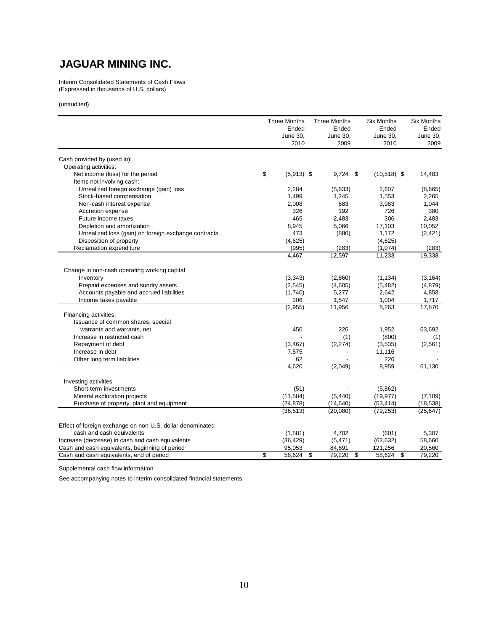# **JAGUAR MINING INC.**

Interim Consolidated Statements of Cash Flows (Expressed in thousands of U.S. dollars)

(unaudited)

|                                                           | <b>Three Months</b> | <b>Three Months</b>                  | <b>Six Months</b> | <b>Six Months</b> |
|-----------------------------------------------------------|---------------------|--------------------------------------|-------------------|-------------------|
|                                                           | Ended               | Ended                                | Ended             | Ended             |
|                                                           | June 30.<br>2010    | June 30,<br>2009                     | June 30,<br>2010  | June 30,<br>2009  |
| Cash provided by (used in):                               |                     |                                      |                   |                   |
| Operating activities:                                     |                     |                                      |                   |                   |
| Net income (loss) for the period                          | \$<br>$(5,913)$ \$  | $9,724$ \$                           | $(10,518)$ \$     | 14,483            |
| Items not involving cash:                                 |                     |                                      |                   |                   |
| Unrealized foreign exchange (gain) loss                   | 2,284               | (5,633)                              | 2,607             | (8,665)           |
| Stock-based compensation                                  | 1,499               | 1,245                                | 1,553             | 2,265             |
| Non-cash interest expense                                 | 2,008               | 683                                  | 3,983             | 1,044             |
| Accretion expense                                         | 326                 | 192                                  | 726               | 380               |
| Future income taxes                                       | 465                 | 2,483                                | 306               | 2,483             |
| Depletion and amortization                                | 8,945               | 5,066                                | 17,103            | 10,052            |
| Unrealized loss (gain) on foreign exchange contracts      | 473                 | (880)                                | 1,172             | (2, 421)          |
| Disposition of property                                   | (4,625)             |                                      | (4,625)           |                   |
| Reclamation expenditure                                   | (995)               | (283)                                | (1,074)           | (283)             |
|                                                           | 4.467               | 12,597                               | 11,233            | 19,338            |
| Change in non-cash operating working capital              |                     |                                      |                   |                   |
| Inventory                                                 | (3, 343)            | (2,860)                              | (1, 134)          | (3, 164)          |
| Prepaid expenses and sundry assets                        | (2, 545)            | (4,605)                              | (5, 482)          | (4,879)           |
| Accounts payable and accrued liabilities                  | (1,740)             | 5,277                                | 2,642             | 4,858             |
| Income taxes payable                                      | 206                 | 1,547                                | 1,004             | 1,717             |
|                                                           | (2,955)             | 11,956                               | 8,263             | 17,870            |
| Financing activities:                                     |                     |                                      |                   |                   |
| Issuance of common shares, special                        |                     |                                      |                   |                   |
| warrants and warrants, net                                | 450                 | 226                                  | 1,952             | 63,692            |
| Increase in restricted cash                               |                     | (1)                                  | (800)             | (1)               |
| Repayment of debt                                         | (3, 467)            | (2,274)                              | (3,535)           | (2, 561)          |
| Increase in debt                                          | 7,575               |                                      | 11,116            |                   |
| Other long term liabilities                               | 62                  |                                      | 226               |                   |
|                                                           | 4,620               | (2,049)                              | 8,959             | 61,130            |
| Investing activities                                      |                     |                                      |                   |                   |
| Short-term investments                                    | (51)                |                                      | (5,862)           |                   |
| Mineral exploration projects                              | (11, 584)           | (5, 440)                             | (19, 977)         | (7, 109)          |
| Purchase of property, plant and equipment                 | (24, 878)           | (14, 640)                            | (53, 414)         | (18, 538)         |
|                                                           | (36, 513)           | (20,080)                             | (79, 253)         | (25, 647)         |
| Effect of foreign exchange on non-U.S. dollar denominated |                     |                                      |                   |                   |
| cash and cash equivalents                                 | (1,581)             | 4,702                                | (601)             | 5,307             |
| Increase (decrease) in cash and cash equivalents          | (36, 429)           | (5, 471)                             | (62, 632)         | 58,660            |
| Cash and cash equivalents, beginning of period            | 95,053              | 84,691                               | 121,256           | 20,560            |
| Cash and cash equivalents, end of period                  | \$<br>58,624        | $\overline{\mathbf{3}}$<br>79,220 \$ | 58,624<br>s)      | 79,220            |

Supplemental cash flow information

See accompanying notes to interim consolidated financial statements.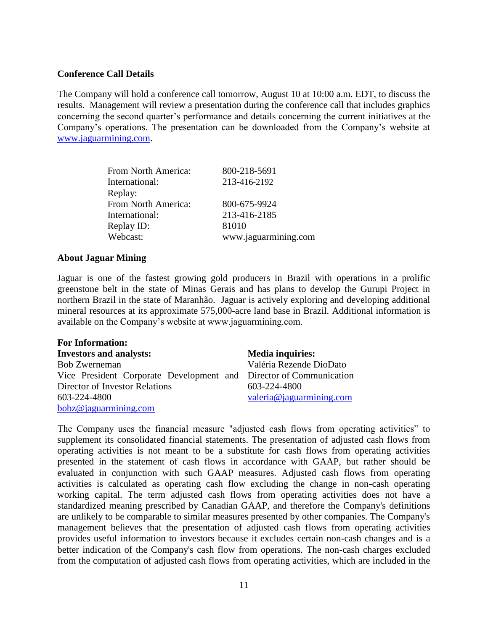# **Conference Call Details**

The Company will hold a conference call tomorrow, August 10 at 10:00 a.m. EDT, to discuss the results. Management will review a presentation during the conference call that includes graphics concerning the second quarter's performance and details concerning the current initiatives at the Company's operations. The presentation can be downloaded from the Company's website at [www.jaguarmining.com.](http://www.jaguarmining.com/)

| From North America: | 800-218-5691         |
|---------------------|----------------------|
| International:      | 213-416-2192         |
| Replay:             |                      |
| From North America: | 800-675-9924         |
| International:      | 213-416-2185         |
| Replay ID:          | 81010                |
| Webcast:            | www.jaguarmining.com |

# **About Jaguar Mining**

Jaguar is one of the fastest growing gold producers in Brazil with operations in a prolific greenstone belt in the state of Minas Gerais and has plans to develop the Gurupi Project in northern Brazil in the state of Maranhão. Jaguar is actively exploring and developing additional mineral resources at its approximate 575,000-acre land base in Brazil. Additional information is available on the Company's website at www.jaguarmining.com.

| <b>For Information:</b>                                            |                          |
|--------------------------------------------------------------------|--------------------------|
| <b>Investors and analysts:</b>                                     | <b>Media inquiries:</b>  |
| <b>Bob Zwerneman</b>                                               | Valéria Rezende DioDato  |
| Vice President Corporate Development and Director of Communication |                          |
| Director of Investor Relations                                     | 603-224-4800             |
| 603-224-4800                                                       | valeria@jaguarmining.com |
| bobz@jaguarmining.com                                              |                          |

The Company uses the financial measure "adjusted cash flows from operating activities" to supplement its consolidated financial statements. The presentation of adjusted cash flows from operating activities is not meant to be a substitute for cash flows from operating activities presented in the statement of cash flows in accordance with GAAP, but rather should be evaluated in conjunction with such GAAP measures. Adjusted cash flows from operating activities is calculated as operating cash flow excluding the change in non-cash operating working capital. The term adjusted cash flows from operating activities does not have a standardized meaning prescribed by Canadian GAAP, and therefore the Company's definitions are unlikely to be comparable to similar measures presented by other companies. The Company's management believes that the presentation of adjusted cash flows from operating activities provides useful information to investors because it excludes certain non-cash changes and is a better indication of the Company's cash flow from operations. The non-cash charges excluded from the computation of adjusted cash flows from operating activities, which are included in the